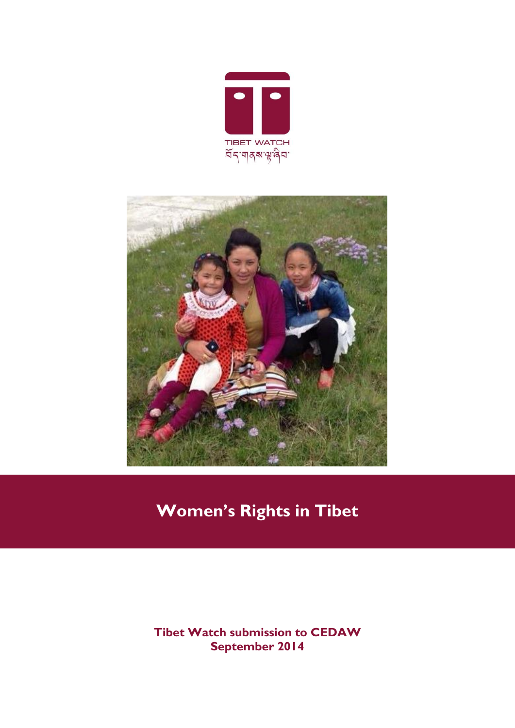



# **Women's Rights in Tibet**

**Tibet Watch submission to CEDAW September 2014**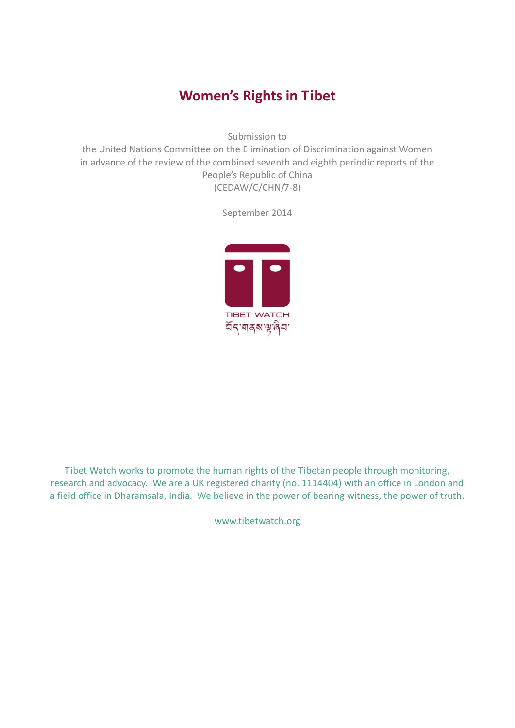# **Women's Rights in Tibet**

Submission to

the United Nations Committee on the Elimination of Discrimination against Women in advance of the review of the combined seventh and eighth periodic reports of the People's Republic of China (CEDAW/C/CHN/7-8)

September 2014



Tibet Watch works to promote the human rights of the Tibetan people through monitoring, research and advocacy. We are a UK registered charity (no. 1114404) with an office in London and a field office in Dharamsala, India. We believe in the power of bearing witness, the power of truth.

www.tibetwatch.org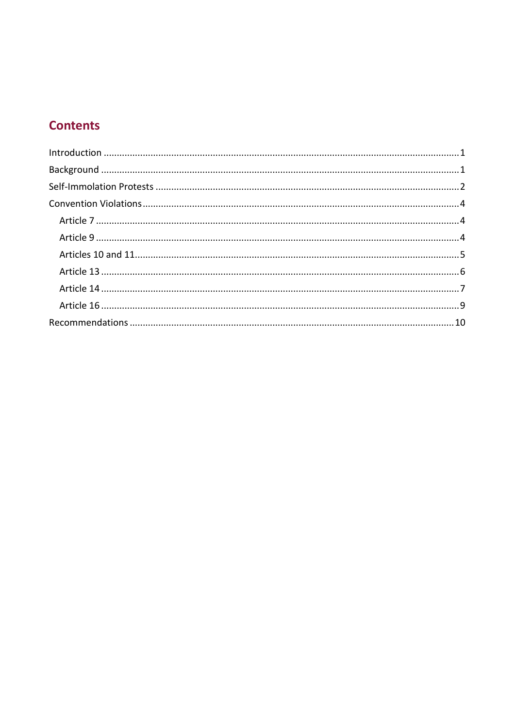# **Contents**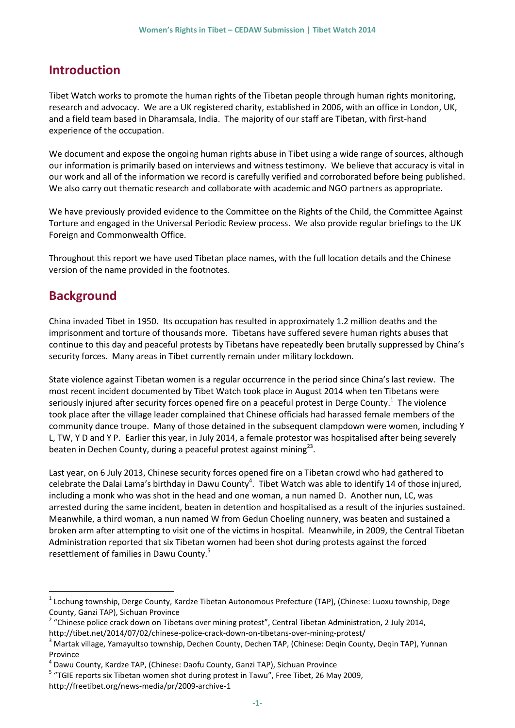# <span id="page-3-0"></span>**Introduction**

Tibet Watch works to promote the human rights of the Tibetan people through human rights monitoring, research and advocacy. We are a UK registered charity, established in 2006, with an office in London, UK, and a field team based in Dharamsala, India. The majority of our staff are Tibetan, with first-hand experience of the occupation.

We document and expose the ongoing human rights abuse in Tibet using a wide range of sources, although our information is primarily based on interviews and witness testimony. We believe that accuracy is vital in our work and all of the information we record is carefully verified and corroborated before being published. We also carry out thematic research and collaborate with academic and NGO partners as appropriate.

We have previously provided evidence to the Committee on the Rights of the Child, the Committee Against Torture and engaged in the Universal Periodic Review process. We also provide regular briefings to the UK Foreign and Commonwealth Office.

Throughout this report we have used Tibetan place names, with the full location details and the Chinese version of the name provided in the footnotes.

### <span id="page-3-1"></span>**Background**

<u>.</u>

China invaded Tibet in 1950. Its occupation has resulted in approximately 1.2 million deaths and the imprisonment and torture of thousands more. Tibetans have suffered severe human rights abuses that continue to this day and peaceful protests by Tibetans have repeatedly been brutally suppressed by China's security forces. Many areas in Tibet currently remain under military lockdown.

State violence against Tibetan women is a regular occurrence in the period since China's last review. The most recent incident documented by Tibet Watch took place in August 2014 when ten Tibetans were seriously injured after security forces opened fire on a peaceful protest in Derge County.<sup>1</sup> The violence took place after the village leader complained that Chinese officials had harassed female members of the community dance troupe. Many of those detained in the subsequent clampdown were women, including Y L, TW, Y D and Y P. Earlier this year, in July 2014, a female protestor was hospitalised after being severely beaten in Dechen County, during a peaceful protest against mining $^{23}$ .

Last year, on 6 July 2013, Chinese security forces opened fire on a Tibetan crowd who had gathered to celebrate the Dalai Lama's birthday in Dawu County<sup>4</sup>. Tibet Watch was able to identify 14 of those injured, including a monk who was shot in the head and one woman, a nun named D. Another nun, LC, was arrested during the same incident, beaten in detention and hospitalised as a result of the injuries sustained. Meanwhile, a third woman, a nun named W from Gedun Choeling nunnery, was beaten and sustained a broken arm after attempting to visit one of the victims in hospital. Meanwhile, in 2009, the Central Tibetan Administration reported that six Tibetan women had been shot during protests against the forced resettlement of families in Dawu County.<sup>5</sup>

<sup>1</sup> Lochung township, Derge County, Kardze Tibetan Autonomous Prefecture (TAP), (Chinese: Luoxu township, Dege County, Ganzi TAP), Sichuan Province

<sup>&</sup>lt;sup>2</sup> "Chinese police crack down on Tibetans over mining protest", Central Tibetan Administration, 2 July 2014, http://tibet.net/2014/07/02/chinese-police-crack-down-on-tibetans-over-mining-protest/

<sup>&</sup>lt;sup>3</sup> Martak village, Yamayultso township, Dechen County, Dechen TAP, (Chinese: Deqin County, Deqin TAP), Yunnan Province

<sup>&</sup>lt;sup>4</sup> Dawu County, Kardze TAP, (Chinese: Daofu County, Ganzi TAP), Sichuan Province

<sup>&</sup>lt;sup>5</sup> "TGIE reports six Tibetan women shot during protest in Tawu", Free Tibet, 26 May 2009, http://freetibet.org/news-media/pr/2009-archive-1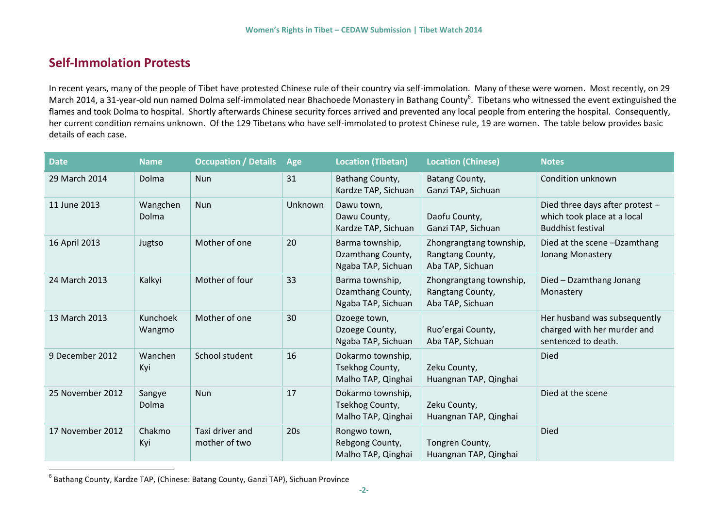### **Self-Immolation Protests**

In recent years, many of the people of Tibet have protested Chinese rule of their country via self-immolation. Many of these were women. Most recently, on 29 March 2014, a 31-year-old nun named Dolma self-immolated near Bhachoede Monastery in Bathang County<sup>6</sup>. Tibetans who witnessed the event extinguished the flames and took Dolma to hospital. Shortly afterwards Chinese security forces arrived and prevented any local people from entering the hospital. Consequently, her current condition remains unknown. Of the 129 Tibetans who have self-immolated to protest Chinese rule, 19 are women. The table below provides basic details of each case.

<span id="page-4-0"></span>

| <b>Date</b>      | <b>Name</b>              | <b>Occupation / Details</b>      | Age     | <b>Location (Tibetan)</b>                                  | <b>Location (Chinese)</b>                                       | Notes                                                                                      |
|------------------|--------------------------|----------------------------------|---------|------------------------------------------------------------|-----------------------------------------------------------------|--------------------------------------------------------------------------------------------|
| 29 March 2014    | Dolma                    | <b>Nun</b>                       | 31      | Bathang County,<br>Kardze TAP, Sichuan                     | Batang County,<br>Ganzi TAP, Sichuan                            | Condition unknown                                                                          |
| 11 June 2013     | Wangchen<br><b>Dolma</b> | Nun                              | Unknown | Dawu town,<br>Dawu County,<br>Kardze TAP, Sichuan          | Daofu County,<br>Ganzi TAP, Sichuan                             | Died three days after protest -<br>which took place at a local<br><b>Buddhist festival</b> |
| 16 April 2013    | Jugtso                   | Mother of one                    | 20      | Barma township,<br>Dzamthang County,<br>Ngaba TAP, Sichuan | Zhongrangtang township,<br>Rangtang County,<br>Aba TAP, Sichuan | Died at the scene -Dzamthang<br>Jonang Monastery                                           |
| 24 March 2013    | Kalkyi                   | Mother of four                   | 33      | Barma township,<br>Dzamthang County,<br>Ngaba TAP, Sichuan | Zhongrangtang township,<br>Rangtang County,<br>Aba TAP, Sichuan | Died - Dzamthang Jonang<br>Monastery                                                       |
| 13 March 2013    | Kunchoek<br>Wangmo       | Mother of one                    | 30      | Dzoege town,<br>Dzoege County,<br>Ngaba TAP, Sichuan       | Ruo'ergai County,<br>Aba TAP, Sichuan                           | Her husband was subsequently<br>charged with her murder and<br>sentenced to death.         |
| 9 December 2012  | Wanchen<br>Kyi           | School student                   | 16      | Dokarmo township,<br>Tsekhog County,<br>Malho TAP, Qinghai | Zeku County,<br>Huangnan TAP, Qinghai                           | Died                                                                                       |
| 25 November 2012 | Sangye<br>Dolma          | <b>Nun</b>                       | 17      | Dokarmo township,<br>Tsekhog County,<br>Malho TAP, Qinghai | Zeku County,<br>Huangnan TAP, Qinghai                           | Died at the scene                                                                          |
| 17 November 2012 | Chakmo<br>Kyi            | Taxi driver and<br>mother of two | 20s     | Rongwo town,<br>Rebgong County,<br>Malho TAP, Qinghai      | Tongren County,<br>Huangnan TAP, Qinghai                        | <b>Died</b>                                                                                |

<sup>&</sup>lt;sup>6</sup> Bathang County, Kardze TAP, (Chinese: Batang County, Ganzi TAP), Sichuan Province

 $\overline{a}$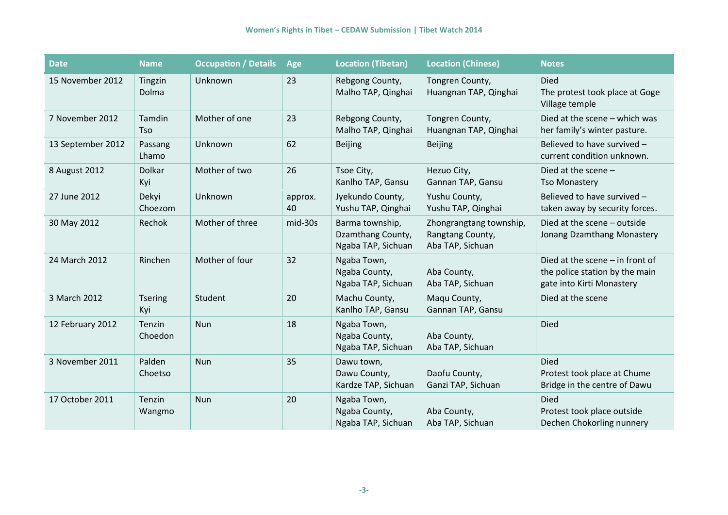| <b>Date</b>       | <b>Name</b>           | <b>Occupation / Details</b> | Age           | <b>Location (Tibetan)</b>                                  | <b>Location (Chinese)</b>                                       | <b>Notes</b>                                                                                     |
|-------------------|-----------------------|-----------------------------|---------------|------------------------------------------------------------|-----------------------------------------------------------------|--------------------------------------------------------------------------------------------------|
| 15 November 2012  | Tingzin<br>Dolma      | Unknown                     | 23            | Rebgong County,<br>Malho TAP, Qinghai                      | Tongren County,<br>Huangnan TAP, Qinghai                        | <b>Died</b><br>The protest took place at Goge<br>Village temple                                  |
| 7 November 2012   | Tamdin<br><b>Tso</b>  | Mother of one               | 23            | Rebgong County,<br>Malho TAP, Qinghai                      | Tongren County,<br>Huangnan TAP, Qinghai                        | Died at the scene - which was<br>her family's winter pasture.                                    |
| 13 September 2012 | Passang<br>Lhamo      | Unknown                     | 62            | <b>Beijing</b>                                             | <b>Beijing</b>                                                  | Believed to have survived -<br>current condition unknown.                                        |
| 8 August 2012     | Dolkar<br>Kyi         | Mother of two               | 26            | Tsoe City,<br>Kanlho TAP, Gansu                            | Hezuo City,<br>Gannan TAP, Gansu                                | Died at the scene $-$<br><b>Tso Monastery</b>                                                    |
| 27 June 2012      | Dekyi<br>Choezom      | Unknown                     | approx.<br>40 | Jyekundo County,<br>Yushu TAP, Qinghai                     | Yushu County,<br>Yushu TAP, Qinghai                             | Believed to have survived -<br>taken away by security forces.                                    |
| 30 May 2012       | Rechok                | Mother of three             | mid-30s       | Barma township,<br>Dzamthang County,<br>Ngaba TAP, Sichuan | Zhongrangtang township,<br>Rangtang County,<br>Aba TAP, Sichuan | Died at the scene - outside<br>Jonang Dzamthang Monastery                                        |
| 24 March 2012     | Rinchen               | Mother of four              | 32            | Ngaba Town,<br>Ngaba County,<br>Ngaba TAP, Sichuan         | Aba County,<br>Aba TAP, Sichuan                                 | Died at the scene $-$ in front of<br>the police station by the main<br>gate into Kirti Monastery |
| 3 March 2012      | <b>Tsering</b><br>Kyi | Student                     | 20            | Machu County,<br>Kanlho TAP, Gansu                         | Maqu County,<br>Gannan TAP, Gansu                               | Died at the scene                                                                                |
| 12 February 2012  | Tenzin<br>Choedon     | Nun                         | 18            | Ngaba Town,<br>Ngaba County,<br>Ngaba TAP, Sichuan         | Aba County,<br>Aba TAP, Sichuan                                 | <b>Died</b>                                                                                      |
| 3 November 2011   | Palden<br>Choetso     | Nun                         | 35            | Dawu town,<br>Dawu County,<br>Kardze TAP, Sichuan          | Daofu County,<br>Ganzi TAP, Sichuan                             | <b>Died</b><br>Protest took place at Chume<br>Bridge in the centre of Dawu                       |
| 17 October 2011   | Tenzin<br>Wangmo      | Nun                         | 20            | Ngaba Town,<br>Ngaba County,<br>Ngaba TAP, Sichuan         | Aba County,<br>Aba TAP, Sichuan                                 | Died<br>Protest took place outside<br>Dechen Chokorling nunnery                                  |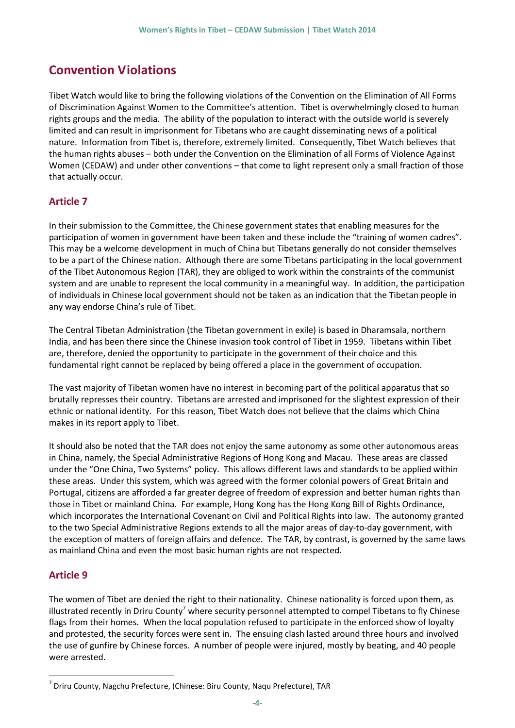# <span id="page-6-0"></span>**Convention Violations**

Tibet Watch would like to bring the following violations of the Convention on the Elimination of All Forms of Discrimination Against Women to the Committee's attention. Tibet is overwhelmingly closed to human rights groups and the media. The ability of the population to interact with the outside world is severely limited and can result in imprisonment for Tibetans who are caught disseminating news of a political nature. Information from Tibet is, therefore, extremely limited. Consequently, Tibet Watch believes that the human rights abuses – both under the Convention on the Elimination of all Forms of Violence Against Women (CEDAW) and under other conventions – that come to light represent only a small fraction of those that actually occur.

#### <span id="page-6-1"></span>**Article 7**

In their submission to the Committee, the Chinese government states that enabling measures for the participation of women in government have been taken and these include the "training of women cadres". This may be a welcome development in much of China but Tibetans generally do not consider themselves to be a part of the Chinese nation. Although there are some Tibetans participating in the local government of the Tibet Autonomous Region (TAR), they are obliged to work within the constraints of the communist system and are unable to represent the local community in a meaningful way. In addition, the participation of individuals in Chinese local government should not be taken as an indication that the Tibetan people in any way endorse China's rule of Tibet.

The Central Tibetan Administration (the Tibetan government in exile) is based in Dharamsala, northern India, and has been there since the Chinese invasion took control of Tibet in 1959. Tibetans within Tibet are, therefore, denied the opportunity to participate in the government of their choice and this fundamental right cannot be replaced by being offered a place in the government of occupation.

The vast majority of Tibetan women have no interest in becoming part of the political apparatus that so brutally represses their country. Tibetans are arrested and imprisoned for the slightest expression of their ethnic or national identity. For this reason, Tibet Watch does not believe that the claims which China makes in its report apply to Tibet.

It should also be noted that the TAR does not enjoy the same autonomy as some other autonomous areas in China, namely, the Special Administrative Regions of Hong Kong and Macau. These areas are classed under the "One China, Two Systems" policy. This allows different laws and standards to be applied within these areas. Under this system, which was agreed with the former colonial powers of Great Britain and Portugal, citizens are afforded a far greater degree of freedom of expression and better human rights than those in Tibet or mainland China. For example, Hong Kong has the Hong Kong Bill of Rights Ordinance, which incorporates the International Covenant on Civil and Political Rights into law. The autonomy granted to the two Special Administrative Regions extends to all the major areas of day-to-day government, with the exception of matters of foreign affairs and defence. The TAR, by contrast, is governed by the same laws as mainland China and even the most basic human rights are not respected.

#### <span id="page-6-2"></span>**Article 9**

1

The women of Tibet are denied the right to their nationality. Chinese nationality is forced upon them, as illustrated recently in Driru County<sup>7</sup> where security personnel attempted to compel Tibetans to fly Chinese flags from their homes. When the local population refused to participate in the enforced show of loyalty and protested, the security forces were sent in. The ensuing clash lasted around three hours and involved the use of gunfire by Chinese forces. A number of people were injured, mostly by beating, and 40 people were arrested.

<sup>7</sup> Driru County, Nagchu Prefecture, (Chinese: Biru County, Naqu Prefecture), TAR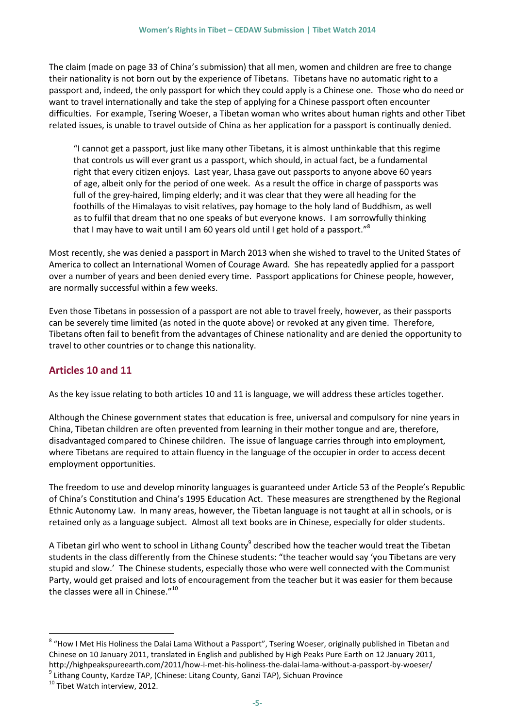The claim (made on page 33 of China's submission) that all men, women and children are free to change their nationality is not born out by the experience of Tibetans. Tibetans have no automatic right to a passport and, indeed, the only passport for which they could apply is a Chinese one. Those who do need or want to travel internationally and take the step of applying for a Chinese passport often encounter difficulties. For example, Tsering Woeser, a Tibetan woman who writes about human rights and other Tibet related issues, is unable to travel outside of China as her application for a passport is continually denied.

"I cannot get a passport, just like many other Tibetans, it is almost unthinkable that this regime that controls us will ever grant us a passport, which should, in actual fact, be a fundamental right that every citizen enjoys. Last year, Lhasa gave out passports to anyone above 60 years of age, albeit only for the period of one week. As a result the office in charge of passports was full of the grey-haired, limping elderly; and it was clear that they were all heading for the foothills of the Himalayas to visit relatives, pay homage to the holy land of Buddhism, as well as to fulfil that dream that no one speaks of but everyone knows. I am sorrowfully thinking that I may have to wait until I am 60 years old until I get hold of a passport."<sup>8</sup>

Most recently, she was denied a passport in March 2013 when she wished to travel to the United States of America to collect an International Women of Courage Award. She has repeatedly applied for a passport over a number of years and been denied every time. Passport applications for Chinese people, however, are normally successful within a few weeks.

Even those Tibetans in possession of a passport are not able to travel freely, however, as their passports can be severely time limited (as noted in the quote above) or revoked at any given time. Therefore, Tibetans often fail to benefit from the advantages of Chinese nationality and are denied the opportunity to travel to other countries or to change this nationality.

#### <span id="page-7-0"></span>**Articles 10 and 11**

As the key issue relating to both articles 10 and 11 is language, we will address these articles together.

Although the Chinese government states that education is free, universal and compulsory for nine years in China, Tibetan children are often prevented from learning in their mother tongue and are, therefore, disadvantaged compared to Chinese children. The issue of language carries through into employment, where Tibetans are required to attain fluency in the language of the occupier in order to access decent employment opportunities.

The freedom to use and develop minority languages is guaranteed under Article 53 of the People's Republic of China's Constitution and China's 1995 Education Act. These measures are strengthened by the Regional Ethnic Autonomy Law. In many areas, however, the Tibetan language is not taught at all in schools, or is retained only as a language subject. Almost all text books are in Chinese, especially for older students.

A Tibetan girl who went to school in Lithang County<sup>9</sup> described how the teacher would treat the Tibetan students in the class differently from the Chinese students: "the teacher would say 'you Tibetans are very stupid and slow.' The Chinese students, especially those who were well connected with the Communist Party, would get praised and lots of encouragement from the teacher but it was easier for them because the classes were all in Chinese."<sup>10</sup>

1

<sup>&</sup>lt;sup>8</sup> "How I Met His Holiness the Dalai Lama Without a Passport", Tsering Woeser, originally published in Tibetan and Chinese on 10 January 2011, translated in English and published by High Peaks Pure Earth on 12 January 2011, http://highpeakspureearth.com/2011/how-i-met-his-holiness-the-dalai-lama-without-a-passport-by-woeser/

<sup>&</sup>lt;sup>9</sup> Lithang County, Kardze TAP, (Chinese: Litang County, Ganzi TAP), Sichuan Province

<sup>&</sup>lt;sup>10</sup> Tibet Watch interview, 2012.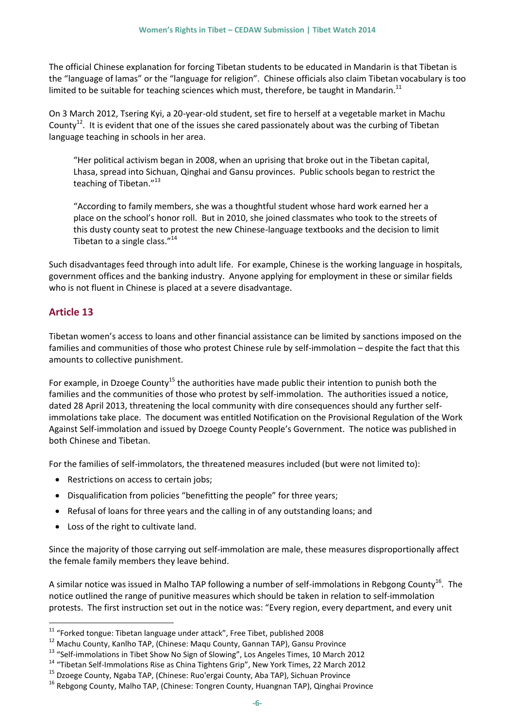The official Chinese explanation for forcing Tibetan students to be educated in Mandarin is that Tibetan is the "language of lamas" or the "language for religion". Chinese officials also claim Tibetan vocabulary is too limited to be suitable for teaching sciences which must, therefore, be taught in Mandarin.<sup>11</sup>

On 3 March 2012, Tsering Kyi, a 20-year-old student, set fire to herself at a vegetable market in Machu County<sup>12</sup>. It is evident that one of the issues she cared passionately about was the curbing of Tibetan language teaching in schools in her area.

"Her political activism began in 2008, when an uprising that broke out in the Tibetan capital, Lhasa, spread into Sichuan, Qinghai and Gansu provinces. Public schools began to restrict the teaching of Tibetan."<sup>13</sup>

"According to family members, she was a thoughtful student whose hard work earned her a place on the school's honor roll. But in 2010, she joined classmates who took to the streets of this dusty county seat to protest the new Chinese-language textbooks and the decision to limit Tibetan to a single class."<sup>14</sup>

Such disadvantages feed through into adult life. For example, Chinese is the working language in hospitals, government offices and the banking industry. Anyone applying for employment in these or similar fields who is not fluent in Chinese is placed at a severe disadvantage.

#### <span id="page-8-0"></span>**Article 13**

1

Tibetan women's access to loans and other financial assistance can be limited by sanctions imposed on the families and communities of those who protest Chinese rule by self-immolation – despite the fact that this amounts to collective punishment.

For example, in Dzoege County<sup>15</sup> the authorities have made public their intention to punish both the families and the communities of those who protest by self-immolation. The authorities issued a notice, dated 28 April 2013, threatening the local community with dire consequences should any further selfimmolations take place. The document was entitled Notification on the Provisional Regulation of the Work Against Self-immolation and issued by Dzoege County People's Government. The notice was published in both Chinese and Tibetan.

For the families of self-immolators, the threatened measures included (but were not limited to):

- Restrictions on access to certain jobs;
- Disqualification from policies "benefitting the people" for three years;
- Refusal of loans for three years and the calling in of any outstanding loans; and
- Loss of the right to cultivate land.

Since the majority of those carrying out self-immolation are male, these measures disproportionally affect the female family members they leave behind.

A similar notice was issued in Malho TAP following a number of self-immolations in Rebgong County<sup>16</sup>. The notice outlined the range of punitive measures which should be taken in relation to self-immolation protests. The first instruction set out in the notice was: "Every region, every department, and every unit

<sup>11</sup> "Forked tongue: Tibetan language under attack", Free Tibet, published 2008

<sup>&</sup>lt;sup>12</sup> Machu County, Kanlho TAP, (Chinese: Maqu County, Gannan TAP), Gansu Province

<sup>13</sup> "Self-immolations in Tibet Show No Sign of Slowing", Los Angeles Times, 10 March 2012

<sup>&</sup>lt;sup>14</sup> "Tibetan Self-Immolations Rise as China Tightens Grip", New York Times, 22 March 2012

<sup>&</sup>lt;sup>15</sup> Dzoege County, Ngaba TAP, (Chinese: Ruo'ergai County, Aba TAP), Sichuan Province

<sup>&</sup>lt;sup>16</sup> Rebgong County, Malho TAP, (Chinese: Tongren County, Huangnan TAP), Qinghai Province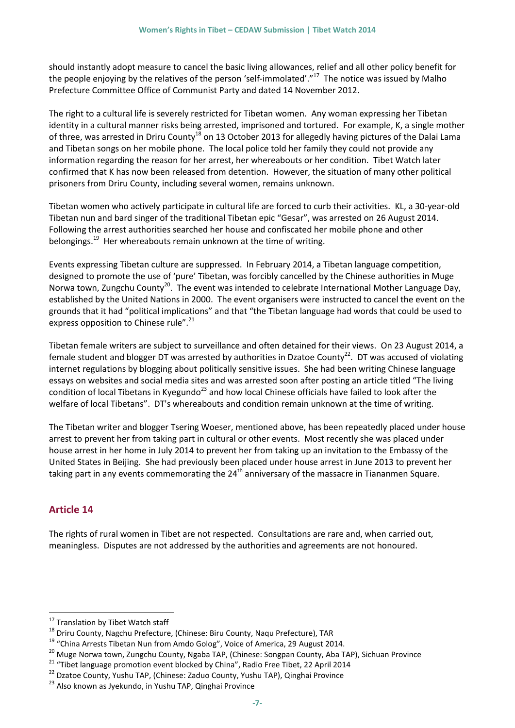should instantly adopt measure to cancel the basic living allowances, relief and all other policy benefit for the people enjoying by the relatives of the person 'self-immolated'."<sup>17</sup> The notice was issued by Malho Prefecture Committee Office of Communist Party and dated 14 November 2012.

The right to a cultural life is severely restricted for Tibetan women. Any woman expressing her Tibetan identity in a cultural manner risks being arrested, imprisoned and tortured. For example, K, a single mother of three, was arrested in Driru County<sup>18</sup> on 13 October 2013 for allegedly having pictures of the Dalai Lama and Tibetan songs on her mobile phone. The local police told her family they could not provide any information regarding the reason for her arrest, her whereabouts or her condition. Tibet Watch later confirmed that K has now been released from detention. However, the situation of many other political prisoners from Driru County, including several women, remains unknown.

Tibetan women who actively participate in cultural life are forced to curb their activities. KL, a 30-year-old Tibetan nun and bard singer of the traditional Tibetan epic "Gesar", was arrested on 26 August 2014. Following the arrest authorities searched her house and confiscated her mobile phone and other belongings. $19$  Her whereabouts remain unknown at the time of writing.

Events expressing Tibetan culture are suppressed. In February 2014, a Tibetan language competition, designed to promote the use of 'pure' Tibetan, was forcibly cancelled by the Chinese authorities in Muge Norwa town, Zungchu County<sup>20</sup>. The event was intended to celebrate International Mother Language Day, established by the United Nations in 2000. The event organisers were instructed to cancel the event on the grounds that it had "political implications" and that "the Tibetan language had words that could be used to express opposition to Chinese rule".<sup>21</sup>

Tibetan female writers are subject to surveillance and often detained for their views. On 23 August 2014, a female student and blogger DT was arrested by authorities in Dzatoe County<sup>22</sup>. DT was accused of violating internet regulations by blogging about politically sensitive issues. She had been writing Chinese language essays on websites and social media sites and was arrested soon after posting an article titled "The living condition of local Tibetans in Kyegundo<sup>23</sup> and how local Chinese officials have failed to look after the welfare of local Tibetans". DT's whereabouts and condition remain unknown at the time of writing.

The Tibetan writer and blogger Tsering Woeser, mentioned above, has been repeatedly placed under house arrest to prevent her from taking part in cultural or other events. Most recently she was placed under house arrest in her home in July 2014 to prevent her from taking up an invitation to the Embassy of the United States in Beijing. She had previously been placed under house arrest in June 2013 to prevent her taking part in any events commemorating the  $24<sup>th</sup>$  anniversary of the massacre in Tiananmen Square.

#### <span id="page-9-0"></span>**Article 14**

<u>.</u>

The rights of rural women in Tibet are not respected. Consultations are rare and, when carried out, meaningless. Disputes are not addressed by the authorities and agreements are not honoured.

<sup>&</sup>lt;sup>17</sup> Translation by Tibet Watch staff

<sup>&</sup>lt;sup>18</sup> Driru County, Nagchu Prefecture, (Chinese: Biru County, Naqu Prefecture), TAR

<sup>19</sup> "China Arrests Tibetan Nun from Amdo Golog", Voice of America, 29 August 2014.

<sup>&</sup>lt;sup>20</sup> Muge Norwa town, Zungchu County, Ngaba TAP, (Chinese: Songpan County, Aba TAP), Sichuan Province

<sup>&</sup>lt;sup>21</sup> "Tibet language promotion event blocked by China", Radio Free Tibet, 22 April 2014

<sup>&</sup>lt;sup>22</sup> Dzatoe County, Yushu TAP, (Chinese: Zaduo County, Yushu TAP), Qinghai Province

<sup>&</sup>lt;sup>23</sup> Also known as Jyekundo, in Yushu TAP, Qinghai Province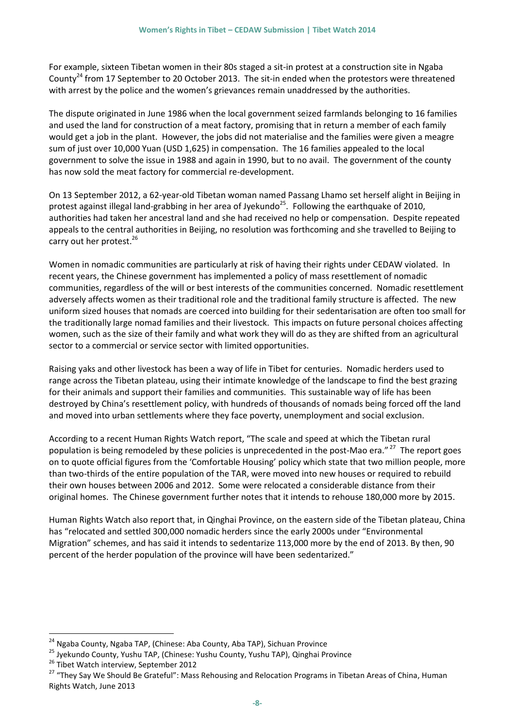For example, sixteen Tibetan women in their 80s staged a sit-in protest at a construction site in Ngaba County<sup>24</sup> from 17 September to 20 October 2013. The sit-in ended when the protestors were threatened with arrest by the police and the women's grievances remain unaddressed by the authorities.

The dispute originated in June 1986 when the local government seized farmlands belonging to 16 families and used the land for construction of a meat factory, promising that in return a member of each family would get a job in the plant. However, the jobs did not materialise and the families were given a meagre sum of just over 10,000 Yuan (USD 1,625) in compensation. The 16 families appealed to the local government to solve the issue in 1988 and again in 1990, but to no avail. The government of the county has now sold the meat factory for commercial re-development.

On 13 September 2012, a 62-year-old Tibetan woman named Passang Lhamo set herself alight in Beijing in protest against illegal land-grabbing in her area of Jyekundo<sup>25</sup>. Following the earthquake of 2010, authorities had taken her ancestral land and she had received no help or compensation. Despite repeated appeals to the central authorities in Beijing, no resolution was forthcoming and she travelled to Beijing to carry out her protest.<sup>26</sup>

Women in nomadic communities are particularly at risk of having their rights under CEDAW violated. In recent years, the Chinese government has implemented a policy of mass resettlement of nomadic communities, regardless of the will or best interests of the communities concerned. Nomadic resettlement adversely affects women as their traditional role and the traditional family structure is affected. The new uniform sized houses that nomads are coerced into building for their sedentarisation are often too small for the traditionally large nomad families and their livestock. This impacts on future personal choices affecting women, such as the size of their family and what work they will do as they are shifted from an agricultural sector to a commercial or service sector with limited opportunities.

Raising yaks and other livestock has been a way of life in Tibet for centuries. Nomadic herders used to range across the Tibetan plateau, using their intimate knowledge of the landscape to find the best grazing for their animals and support their families and communities. This sustainable way of life has been destroyed by China's resettlement policy, with hundreds of thousands of nomads being forced off the land and moved into urban settlements where they face poverty, unemployment and social exclusion.

According to a recent Human Rights Watch report, "The scale and speed at which the Tibetan rural population is being remodeled by these policies is unprecedented in the post-Mao era."<sup>27</sup> The report goes on to quote official figures from the 'Comfortable Housing' policy which state that two million people, more than two-thirds of the entire population of the TAR, were moved into new houses or required to rebuild their own houses between 2006 and 2012. Some were relocated a considerable distance from their original homes. The Chinese government further notes that it intends to rehouse 180,000 more by 2015.

Human Rights Watch also report that, in Qinghai Province, on the eastern side of the Tibetan plateau, China has "relocated and settled 300,000 nomadic herders since the early 2000s under "Environmental Migration" schemes, and has said it intends to sedentarize 113,000 more by the end of 2013. By then, 90 percent of the herder population of the province will have been sedentarized."

1

<sup>&</sup>lt;sup>24</sup> Ngaba County, Ngaba TAP, (Chinese: Aba County, Aba TAP), Sichuan Province

<sup>25</sup> Jyekundo County, Yushu TAP, (Chinese: Yushu County, Yushu TAP), Qinghai Province

<sup>&</sup>lt;sup>26</sup> Tibet Watch interview, September 2012

<sup>&</sup>lt;sup>27</sup> "They Say We Should Be Grateful": Mass Rehousing and Relocation Programs in Tibetan Areas of China, Human Rights Watch, June 2013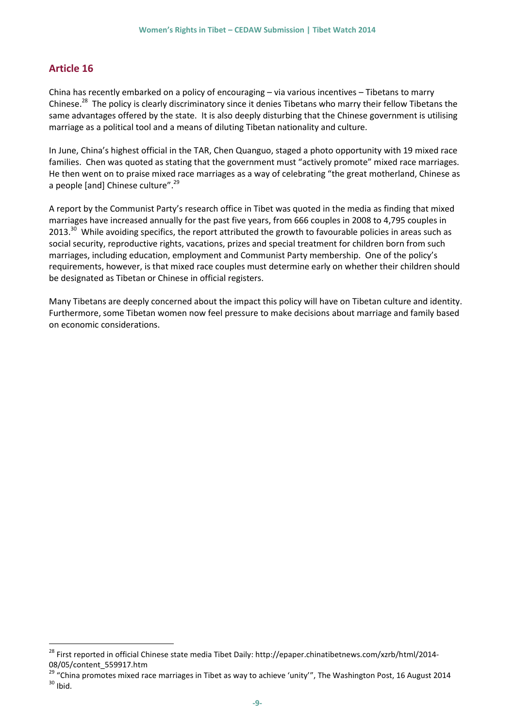#### <span id="page-11-0"></span>**Article 16**

1

China has recently embarked on a policy of encouraging – via various incentives – Tibetans to marry Chinese.<sup>28</sup> The policy is clearly discriminatory since it denies Tibetans who marry their fellow Tibetans the same advantages offered by the state. It is also deeply disturbing that the Chinese government is utilising marriage as a political tool and a means of diluting Tibetan nationality and culture.

In June, China's highest official in the TAR, Chen Quanguo, staged a photo opportunity with 19 mixed race families. Chen was quoted as stating that the government must "actively promote" mixed race marriages. He then went on to praise mixed race marriages as a way of celebrating "the great motherland, Chinese as a people [and] Chinese culture".<sup>29</sup>

A report by the Communist Party's research office in Tibet was quoted in the media as finding that mixed marriages have increased annually for the past five years, from 666 couples in 2008 to 4,795 couples in 2013.<sup>30</sup> While avoiding specifics, the report attributed the growth to favourable policies in areas such as social security, reproductive rights, vacations, prizes and special treatment for children born from such marriages, including education, employment and Communist Party membership. One of the policy's requirements, however, is that mixed race couples must determine early on whether their children should be designated as Tibetan or Chinese in official registers.

Many Tibetans are deeply concerned about the impact this policy will have on Tibetan culture and identity. Furthermore, some Tibetan women now feel pressure to make decisions about marriage and family based on economic considerations.

<sup>&</sup>lt;sup>28</sup> First reported in official Chinese state media Tibet Daily: http://epaper.chinatibetnews.com/xzrb/html/2014-08/05/content\_559917.htm

<sup>&</sup>lt;sup>29</sup> "China promotes mixed race marriages in Tibet as way to achieve 'unity'", The Washington Post, 16 August 2014  $30$  Ibid.